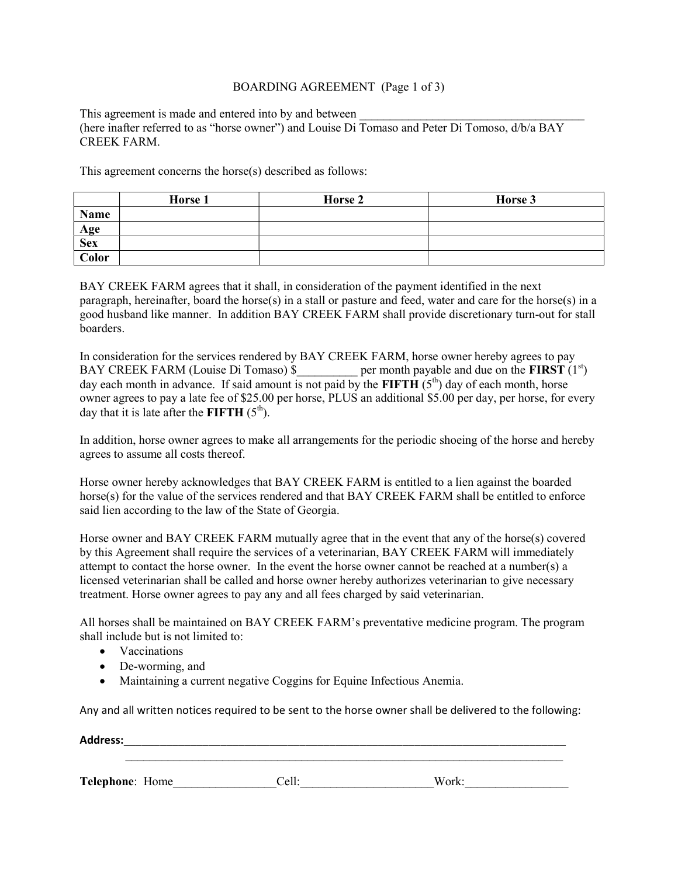## BOARDING AGREEMENT (Page 1 of 3)

This agreement is made and entered into by and between (here inafter referred to as "horse owner") and Louise Di Tomaso and Peter Di Tomoso, d/b/a BAY CREEK FARM.

This agreement concerns the horse(s) described as follows:

|              | Horse 1 | Horse 2 | Horse 3 |
|--------------|---------|---------|---------|
| Name         |         |         |         |
| Age          |         |         |         |
| <b>Sex</b>   |         |         |         |
| <b>Color</b> |         |         |         |

BAY CREEK FARM agrees that it shall, in consideration of the payment identified in the next paragraph, hereinafter, board the horse(s) in a stall or pasture and feed, water and care for the horse(s) in a good husband like manner. In addition BAY CREEK FARM shall provide discretionary turn-out for stall boarders.

In consideration for the services rendered by BAY CREEK FARM, horse owner hereby agrees to pay BAY CREEK FARM (Louise Di Tomaso)  $\beta$  per month payable and due on the **FIRST** (1<sup>st</sup>) BAY CREEK FARM (Louise Di Tomaso) \$ day each month in advance. If said amount is not paid by the FIFTH  $(5<sup>th</sup>)$  day of each month, horse owner agrees to pay a late fee of \$25.00 per horse, PLUS an additional \$5.00 per day, per horse, for every day that it is late after the FIFTH  $(5<sup>th</sup>)$ .

In addition, horse owner agrees to make all arrangements for the periodic shoeing of the horse and hereby agrees to assume all costs thereof.

Horse owner hereby acknowledges that BAY CREEK FARM is entitled to a lien against the boarded horse(s) for the value of the services rendered and that BAY CREEK FARM shall be entitled to enforce said lien according to the law of the State of Georgia.

Horse owner and BAY CREEK FARM mutually agree that in the event that any of the horse(s) covered by this Agreement shall require the services of a veterinarian, BAY CREEK FARM will immediately attempt to contact the horse owner. In the event the horse owner cannot be reached at a number(s) a licensed veterinarian shall be called and horse owner hereby authorizes veterinarian to give necessary treatment. Horse owner agrees to pay any and all fees charged by said veterinarian.

All horses shall be maintained on BAY CREEK FARM's preventative medicine program. The program shall include but is not limited to:

- Vaccinations
- De-worming, and
- Maintaining a current negative Coggins for Equine Infectious Anemia.

Any and all written notices required to be sent to the horse owner shall be delivered to the following:

| <b>Address:</b> |       |       |  |  |  |  |
|-----------------|-------|-------|--|--|--|--|
| Telephone: Home | Cell: | Work: |  |  |  |  |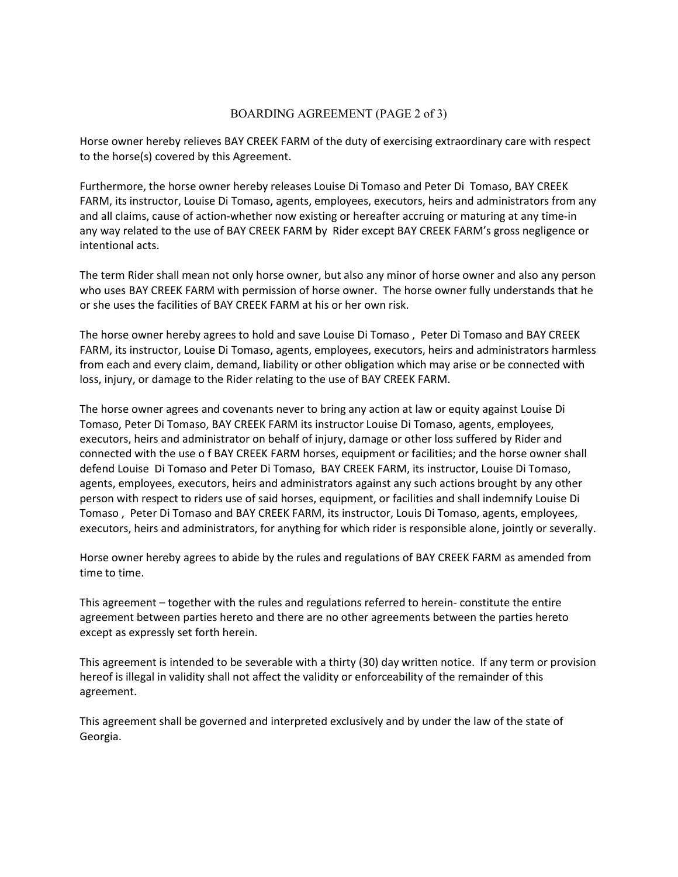## BOARDING AGREEMENT (PAGE 2 of 3)

Horse owner hereby relieves BAY CREEK FARM of the duty of exercising extraordinary care with respect to the horse(s) covered by this Agreement.

Furthermore, the horse owner hereby releases Louise Di Tomaso and Peter Di Tomaso, BAY CREEK FARM, its instructor, Louise Di Tomaso, agents, employees, executors, heirs and administrators from any and all claims, cause of action-whether now existing or hereafter accruing or maturing at any time-in any way related to the use of BAY CREEK FARM by Rider except BAY CREEK FARM's gross negligence or intentional acts.

The term Rider shall mean not only horse owner, but also any minor of horse owner and also any person who uses BAY CREEK FARM with permission of horse owner. The horse owner fully understands that he or she uses the facilities of BAY CREEK FARM at his or her own risk.

The horse owner hereby agrees to hold and save Louise Di Tomaso , Peter Di Tomaso and BAY CREEK FARM, its instructor, Louise Di Tomaso, agents, employees, executors, heirs and administrators harmless from each and every claim, demand, liability or other obligation which may arise or be connected with loss, injury, or damage to the Rider relating to the use of BAY CREEK FARM.

The horse owner agrees and covenants never to bring any action at law or equity against Louise Di Tomaso, Peter Di Tomaso, BAY CREEK FARM its instructor Louise Di Tomaso, agents, employees, executors, heirs and administrator on behalf of injury, damage or other loss suffered by Rider and connected with the use o f BAY CREEK FARM horses, equipment or facilities; and the horse owner shall defend Louise Di Tomaso and Peter Di Tomaso, BAY CREEK FARM, its instructor, Louise Di Tomaso, agents, employees, executors, heirs and administrators against any such actions brought by any other person with respect to riders use of said horses, equipment, or facilities and shall indemnify Louise Di Tomaso , Peter Di Tomaso and BAY CREEK FARM, its instructor, Louis Di Tomaso, agents, employees, executors, heirs and administrators, for anything for which rider is responsible alone, jointly or severally.

Horse owner hereby agrees to abide by the rules and regulations of BAY CREEK FARM as amended from time to time.

This agreement – together with the rules and regulations referred to herein- constitute the entire agreement between parties hereto and there are no other agreements between the parties hereto except as expressly set forth herein.

This agreement is intended to be severable with a thirty (30) day written notice. If any term or provision hereof is illegal in validity shall not affect the validity or enforceability of the remainder of this agreement.

This agreement shall be governed and interpreted exclusively and by under the law of the state of Georgia.